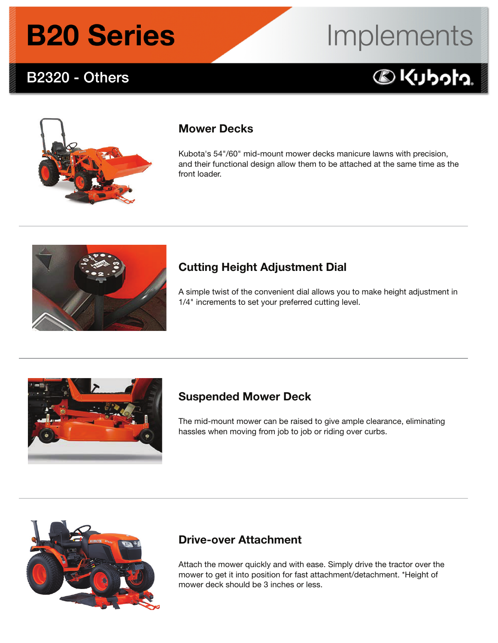### **B2320 - Others**

# Implements

### 



#### Mower Decks

Kubota's 54"/60" mid-mount mower decks manicure lawns with precision, and their functional design allow them to be attached at the same time as the front loader.



#### Cutting Height Adjustment Dial

A simple twist of the convenient dial allows you to make height adjustment in 1/4" increments to set your preferred cutting level.



#### Suspended Mower Deck

The mid-mount mower can be raised to give ample clearance, eliminating hassles when moving from job to job or riding over curbs.



#### Drive-over Attachment

Attach the mower quickly and with ease. Simply drive the tractor over the mower to get it into position for fast attachment/detachment. \*Height of mower deck should be 3 inches or less.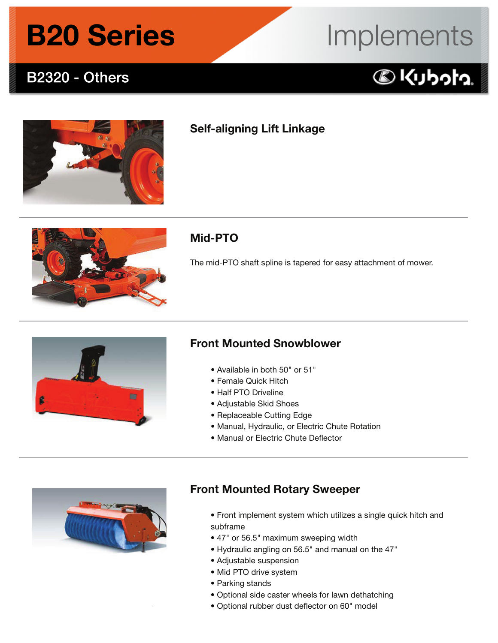### **B2320 - Others**

# Implements





#### Self-aligning Lift Linkage



#### Mid-PTO

The mid-PTO shaft spline is tapered for easy attachment of mower.



#### Front Mounted Snowblower

- Available in both 50" or 51"
- Female Quick Hitch
- Half PTO Driveline
- Adjustable Skid Shoes
- Replaceable Cutting Edge
- Manual, Hydraulic, or Electric Chute Rotation
- Manual or Electric Chute Deflector



#### Front Mounted Rotary Sweeper

- Front implement system which utilizes a single quick hitch and subframe
- 47" or 56.5" maximum sweeping width
- Hydraulic angling on 56.5" and manual on the 47"
- Adjustable suspension
- Mid PTO drive system
- Parking stands
- Optional side caster wheels for lawn dethatching
- Optional rubber dust deflector on 60" model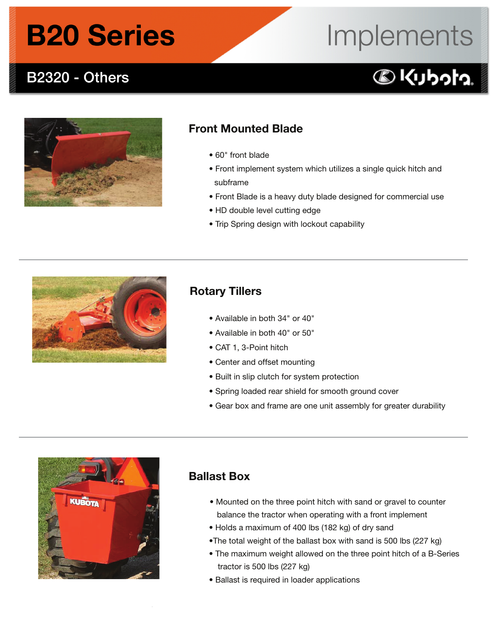### **B2320 - Others**

# Implements

### 



#### Front Mounted Blade

- 60" front blade
- Front implement system which utilizes a single quick hitch and subframe
- Front Blade is a heavy duty blade designed for commercial use
- HD double level cutting edge
- Trip Spring design with lockout capability



#### Rotary Tillers

- Available in both 34" or 40"
- Available in both 40" or 50"
- CAT 1, 3-Point hitch
- Center and offset mounting
- Built in slip clutch for system protection
- Spring loaded rear shield for smooth ground cover
- Gear box and frame are one unit assembly for greater durability



#### Ballast Box

- Mounted on the three point hitch with sand or gravel to counter balance the tractor when operating with a front implement
- Holds a maximum of 400 lbs (182 kg) of dry sand
- •The total weight of the ballast box with sand is 500 lbs (227 kg)
- The maximum weight allowed on the three point hitch of a B-Series tractor is 500 lbs (227 kg)
- Ballast is required in loader applications